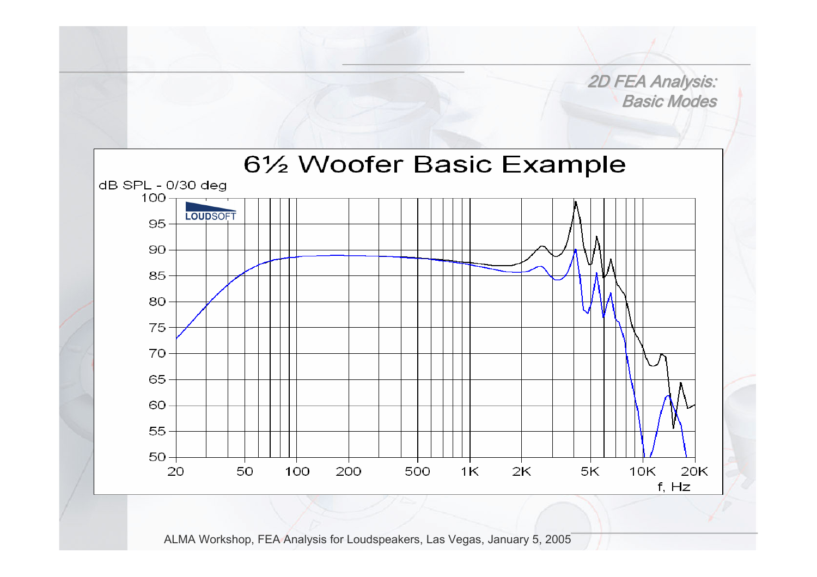2D FEA Analysis: Basic Modes

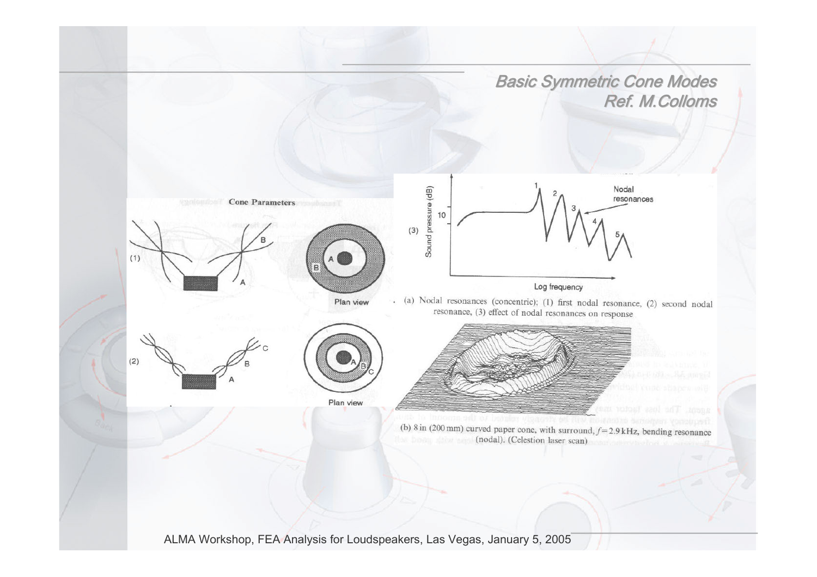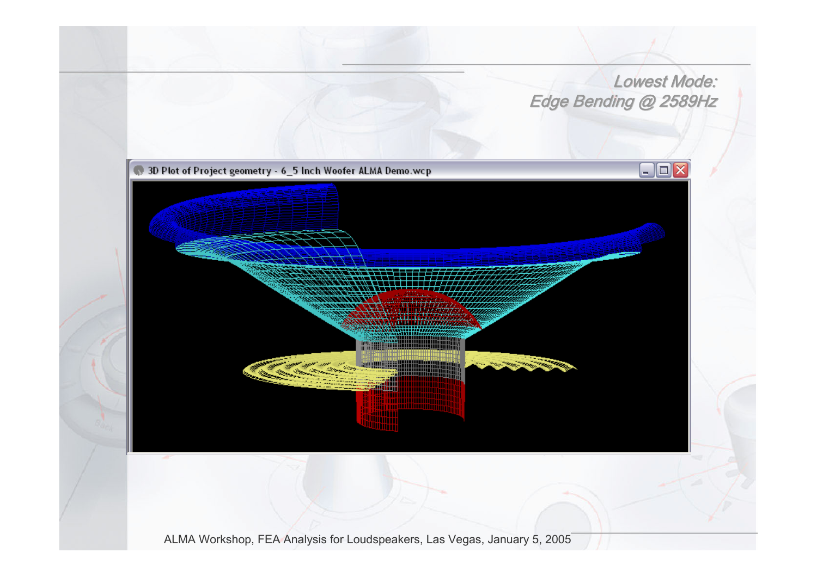## Lowest Mode: Edge Bending @ 2589Hz

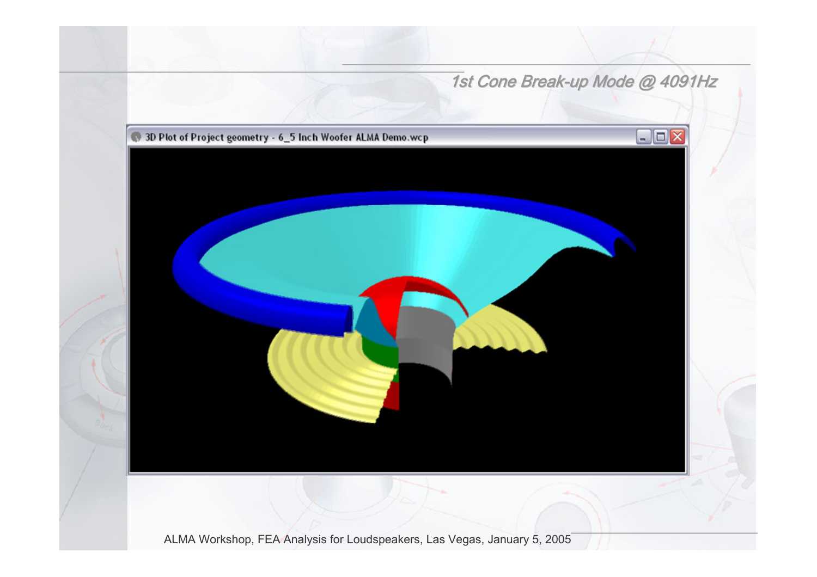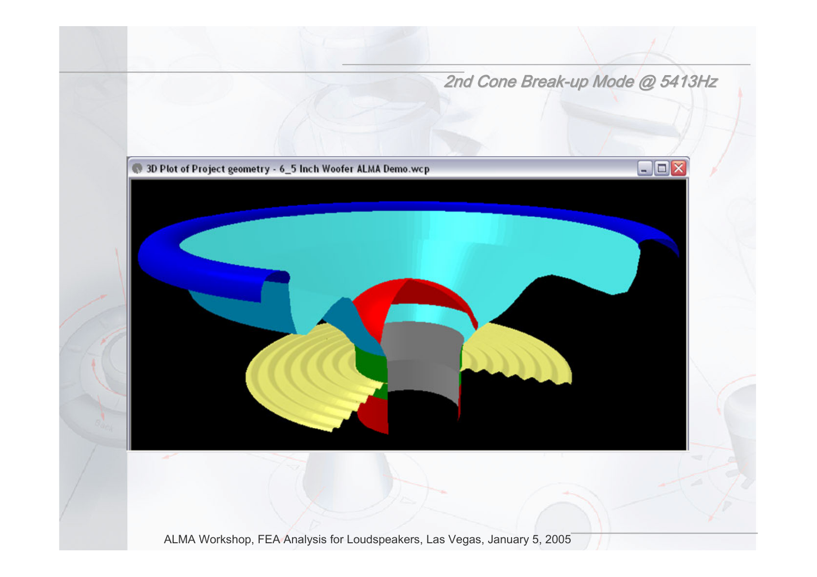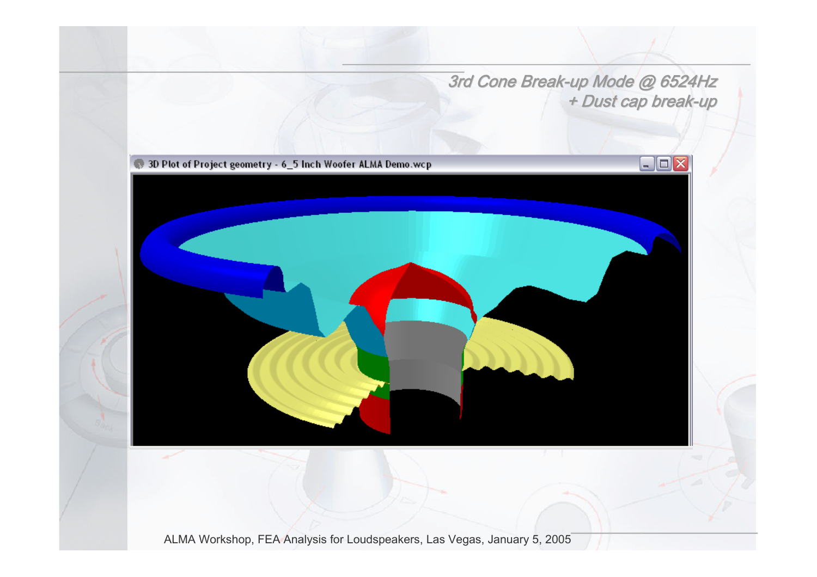3rd Cone Break-up Mode @ 6524Hz + Dust cap break-up

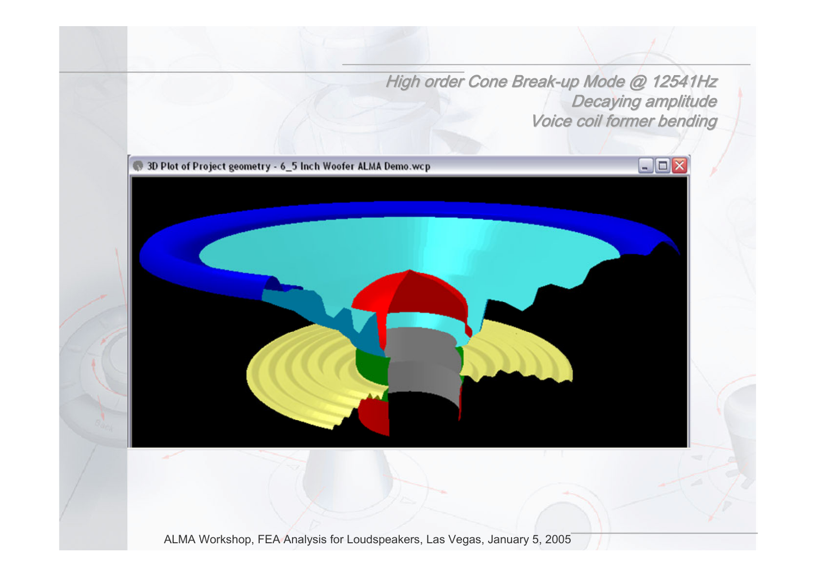High order Cone Break-up Mode @ 12541Hz Decaying amplitude Voice coil former bending

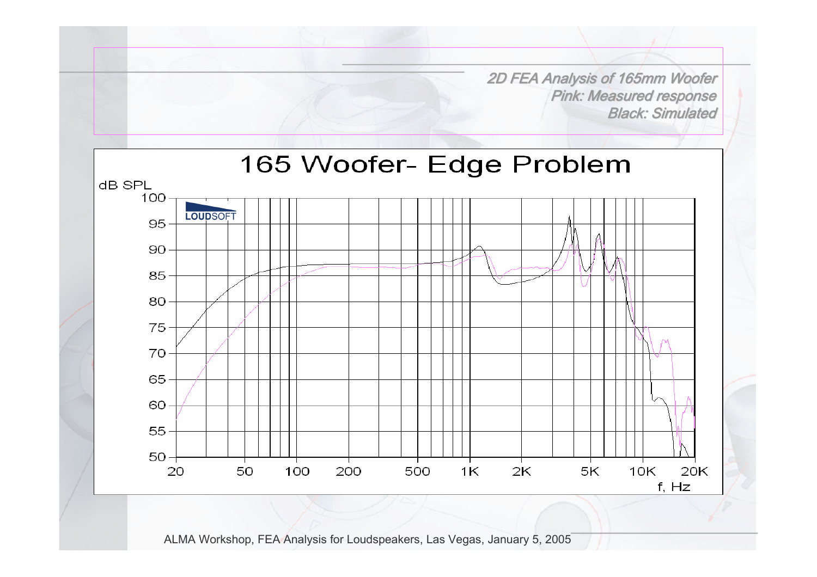2D FEA Analysis of 165mm Woofer 2D FEA Analysis of 165mm Woofer **Pink: Measured response** Black: Simulated

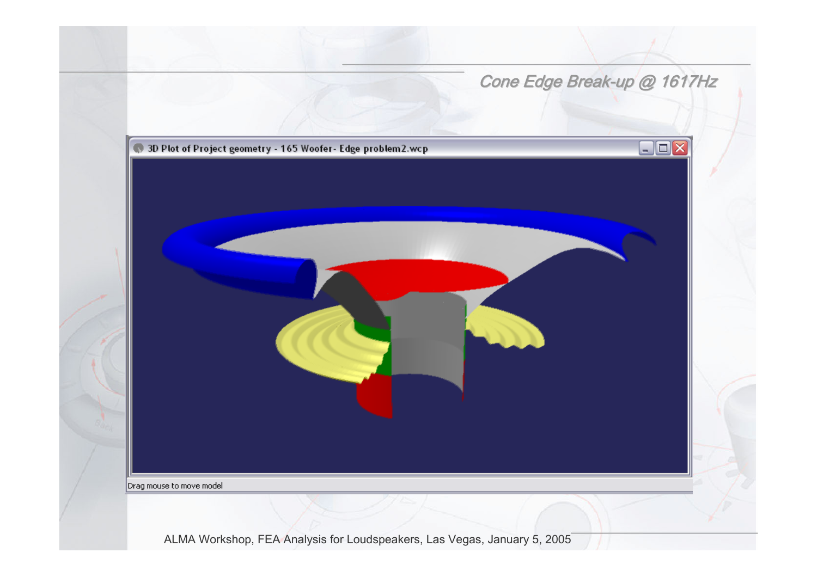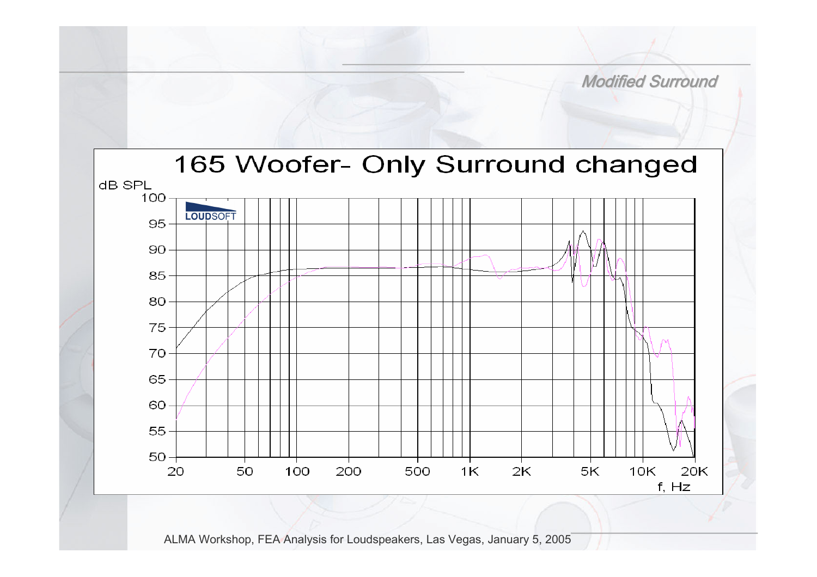

**Modified Surround**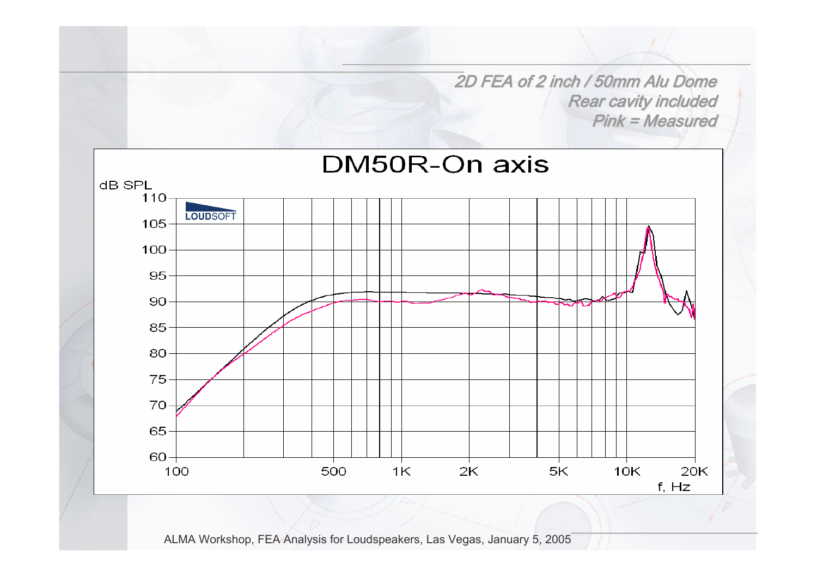2D FEA of 2 inch / 50mm Alu Dome Rear cavity included  $Pink = Measured$ 

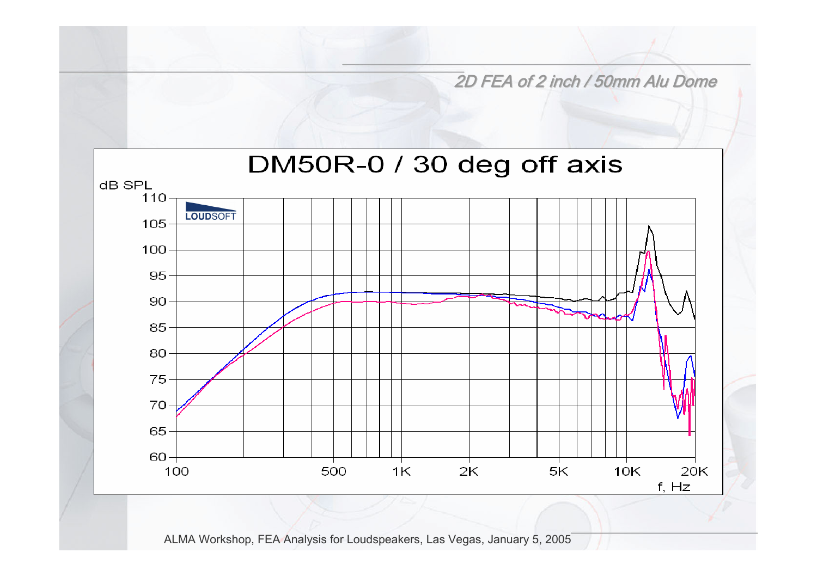2D FEA of 2 inch / 50mm Alu Dome

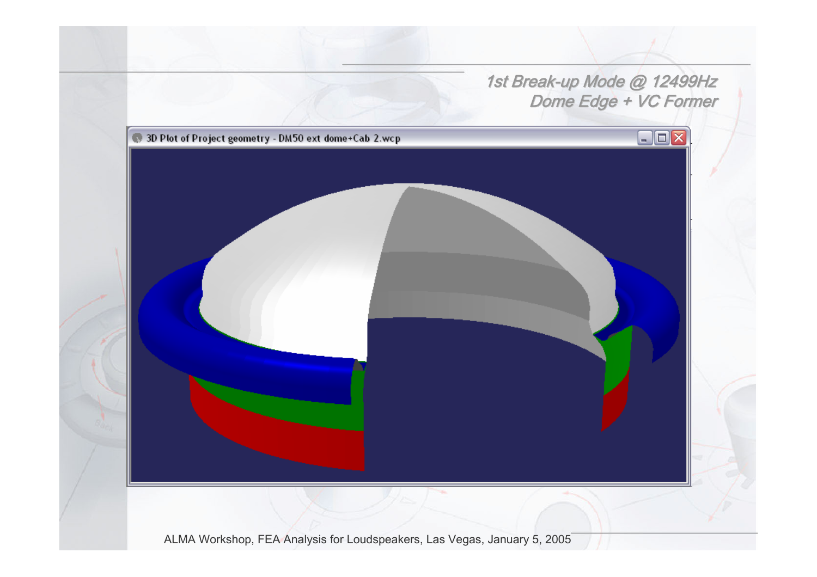## 1st Break-up Mode @ 12499Hz Dome Edge + VC Former

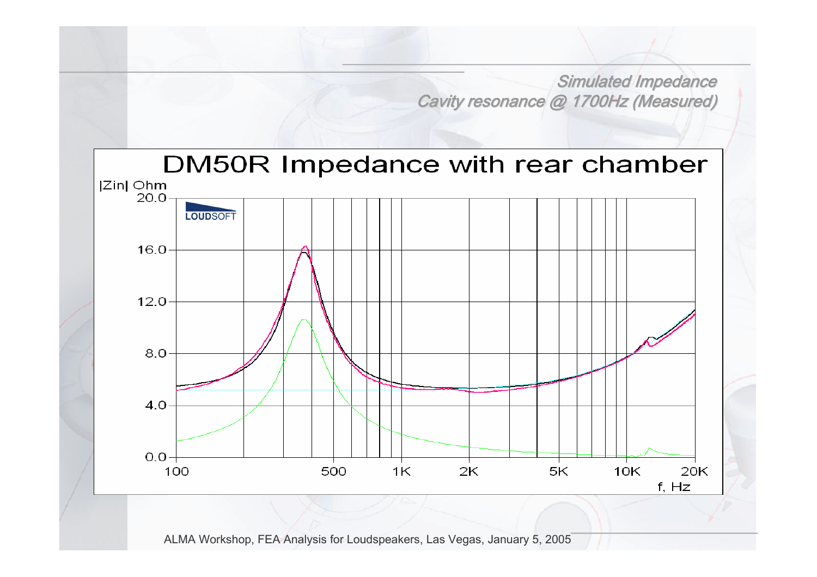Simulated Impedance Cavity resonance @ 1700Hz (Measured)

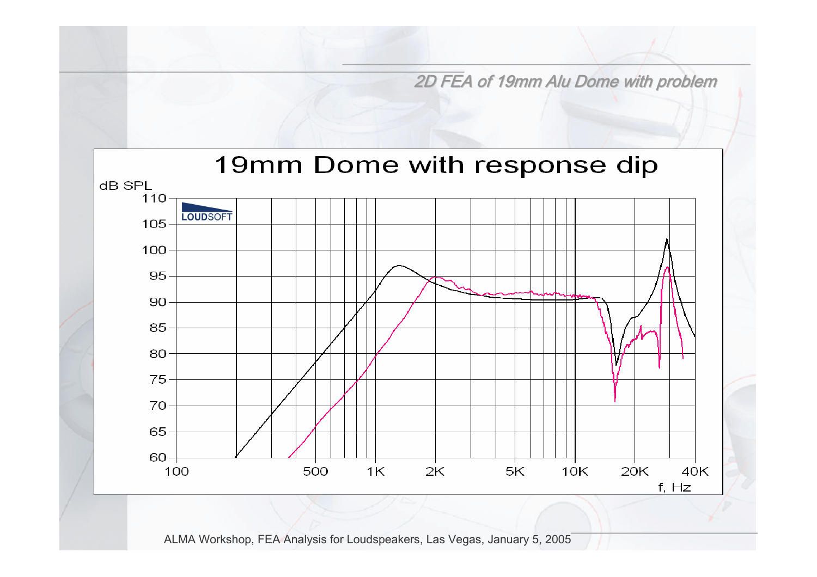2D FEA of 19mm Alu Dome with problem

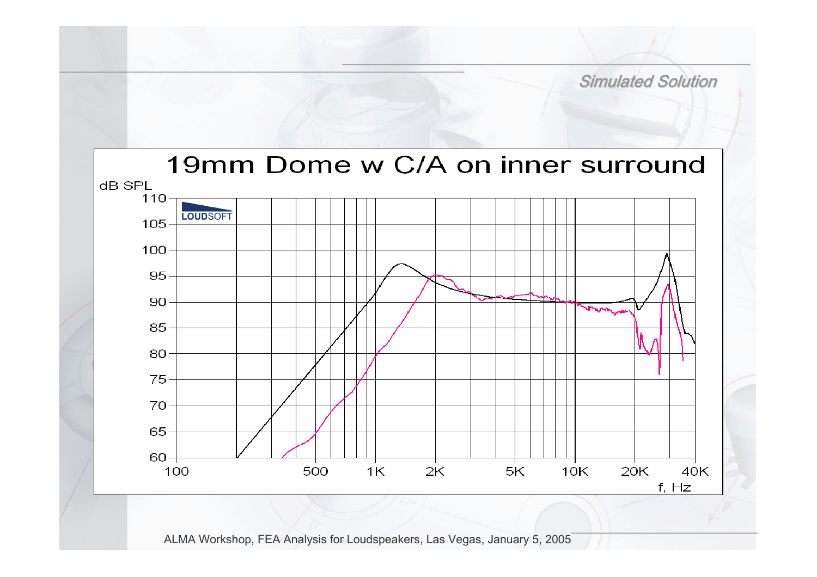

**Simulated Solution**